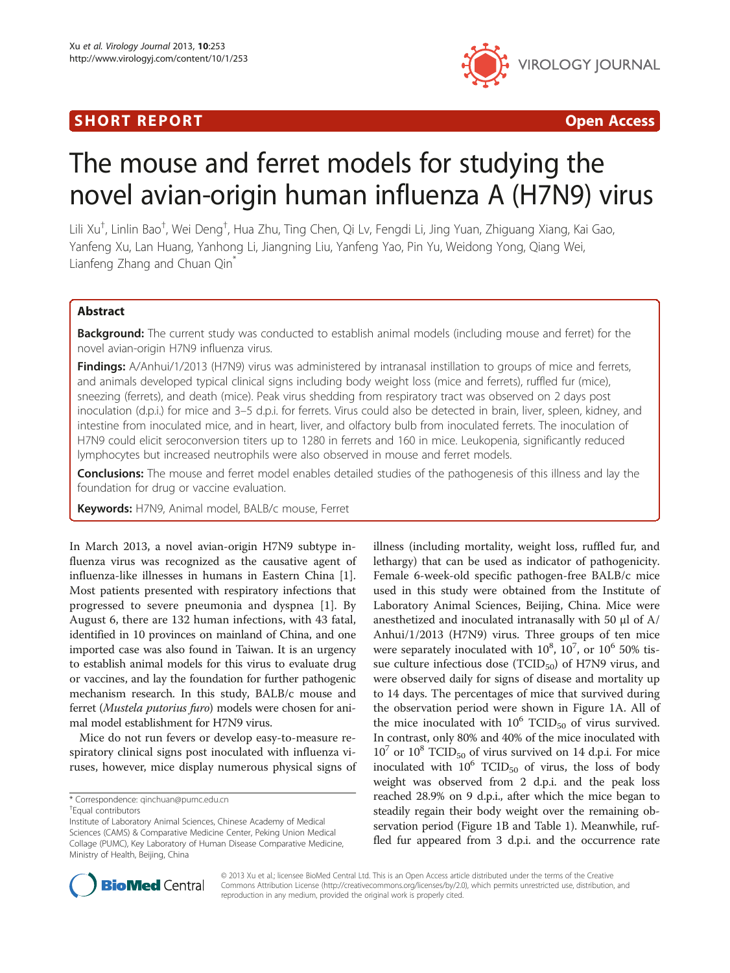# SHORT REPORT **The Contract of the Contract Open Access** (SHORT **Contract of the Contract Open Access**



# The mouse and ferret models for studying the novel avian-origin human influenza A (H7N9) virus

Lili Xu<sup>†</sup>, Linlin Bao<sup>†</sup>, Wei Deng<sup>†</sup>, Hua Zhu, Ting Chen, Qi Lv, Fengdi Li, Jing Yuan, Zhiguang Xiang, Kai Gao, Yanfeng Xu, Lan Huang, Yanhong Li, Jiangning Liu, Yanfeng Yao, Pin Yu, Weidong Yong, Qiang Wei, Lianfeng Zhang and Chuan Qin<sup>\*</sup>

# Abstract

**Background:** The current study was conducted to establish animal models (including mouse and ferret) for the novel avian-origin H7N9 influenza virus.

Findings: A/Anhui/1/2013 (H7N9) virus was administered by intranasal instillation to groups of mice and ferrets, and animals developed typical clinical signs including body weight loss (mice and ferrets), ruffled fur (mice), sneezing (ferrets), and death (mice). Peak virus shedding from respiratory tract was observed on 2 days post inoculation (d.p.i.) for mice and 3–5 d.p.i. for ferrets. Virus could also be detected in brain, liver, spleen, kidney, and intestine from inoculated mice, and in heart, liver, and olfactory bulb from inoculated ferrets. The inoculation of H7N9 could elicit seroconversion titers up to 1280 in ferrets and 160 in mice. Leukopenia, significantly reduced lymphocytes but increased neutrophils were also observed in mouse and ferret models.

**Conclusions:** The mouse and ferret model enables detailed studies of the pathogenesis of this illness and lay the foundation for drug or vaccine evaluation.

Keywords: H7N9, Animal model, BALB/c mouse, Ferret

In March 2013, a novel avian-origin H7N9 subtype influenza virus was recognized as the causative agent of influenza-like illnesses in humans in Eastern China [\[1](#page-7-0)]. Most patients presented with respiratory infections that progressed to severe pneumonia and dyspnea [[1\]](#page-7-0). By August 6, there are 132 human infections, with 43 fatal, identified in 10 provinces on mainland of China, and one imported case was also found in Taiwan. It is an urgency to establish animal models for this virus to evaluate drug or vaccines, and lay the foundation for further pathogenic mechanism research. In this study, BALB/c mouse and ferret (Mustela putorius furo) models were chosen for animal model establishment for H7N9 virus.

Mice do not run fevers or develop easy-to-measure respiratory clinical signs post inoculated with influenza viruses, however, mice display numerous physical signs of

illness (including mortality, weight loss, ruffled fur, and lethargy) that can be used as indicator of pathogenicity. Female 6-week-old specific pathogen-free BALB/c mice used in this study were obtained from the Institute of Laboratory Animal Sciences, Beijing, China. Mice were anesthetized and inoculated intranasally with 50 μl of A/ Anhui/1/2013 (H7N9) virus. Three groups of ten mice were separately inoculated with  $10^8$ ,  $10^7$ , or  $10^6$  50% tissue culture infectious dose ( $TCID_{50}$ ) of H7N9 virus, and were observed daily for signs of disease and mortality up to 14 days. The percentages of mice that survived during the observation period were shown in Figure [1A](#page-1-0). All of the mice inoculated with  $10^6$  TCID<sub>50</sub> of virus survived. In contrast, only 80% and 40% of the mice inoculated with  $10^7$  or  $10^8$  TCID<sub>50</sub> of virus survived on 14 d.p.i. For mice inoculated with  $10^6$  TCID<sub>50</sub> of virus, the loss of body weight was observed from 2 d.p.i. and the peak loss reached 28.9% on 9 d.p.i., after which the mice began to steadily regain their body weight over the remaining observation period (Figure [1](#page-1-0)B and Table [1\)](#page-2-0). Meanwhile, ruffled fur appeared from 3 d.p.i. and the occurrence rate



© 2013 Xu et al.; licensee BioMed Central Ltd. This is an Open Access article distributed under the terms of the Creative Commons Attribution License [\(http://creativecommons.org/licenses/by/2.0\)](http://creativecommons.org/licenses/by/2.0), which permits unrestricted use, distribution, and reproduction in any medium, provided the original work is properly cited.

<sup>\*</sup> Correspondence: [qinchuan@pumc.edu.cn](mailto:qinchuan@pumc.edu.cn) †

Equal contributors

Institute of Laboratory Animal Sciences, Chinese Academy of Medical Sciences (CAMS) & Comparative Medicine Center, Peking Union Medical Collage (PUMC), Key Laboratory of Human Disease Comparative Medicine, Ministry of Health, Beijing, China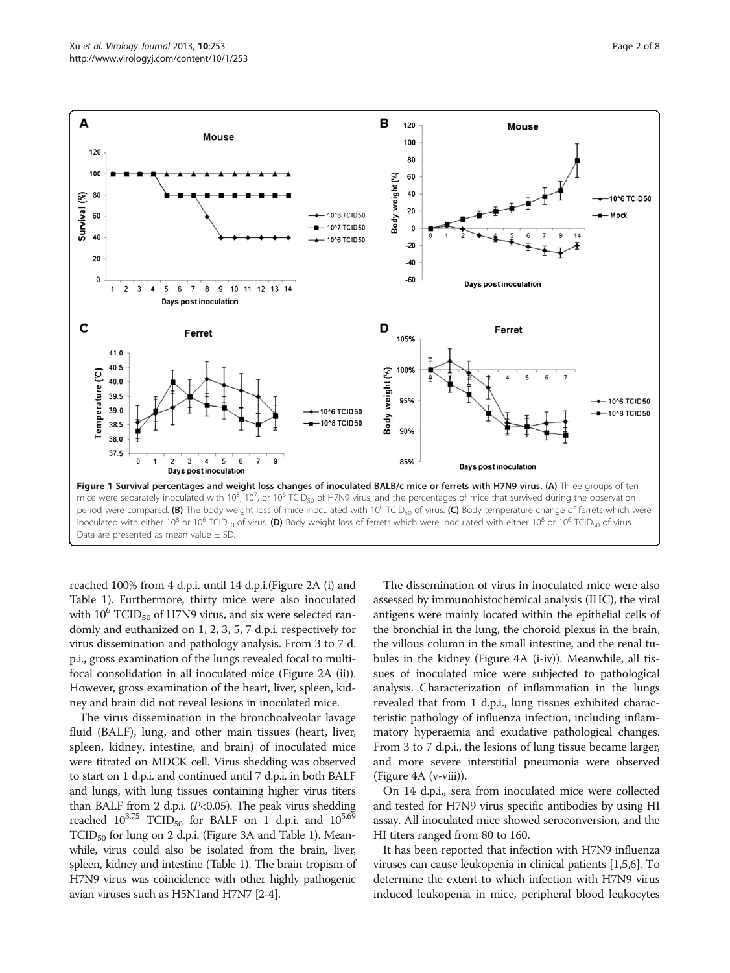<span id="page-1-0"></span>

reached 100% from 4 d.p.i. until 14 d.p.i.(Figure [2A](#page-3-0) (i) and Table [1\)](#page-2-0). Furthermore, thirty mice were also inoculated with  $10^6$  TCID<sub>50</sub> of H7N9 virus, and six were selected randomly and euthanized on 1, 2, 3, 5, 7 d.p.i. respectively for virus dissemination and pathology analysis. From 3 to 7 d. p.i., gross examination of the lungs revealed focal to multifocal consolidation in all inoculated mice (Figure [2](#page-3-0)A (ii)). However, gross examination of the heart, liver, spleen, kidney and brain did not reveal lesions in inoculated mice.

The virus dissemination in the bronchoalveolar lavage fluid (BALF), lung, and other main tissues (heart, liver, spleen, kidney, intestine, and brain) of inoculated mice were titrated on MDCK cell. Virus shedding was observed to start on 1 d.p.i. and continued until 7 d.p.i. in both BALF and lungs, with lung tissues containing higher virus titers than BALF from 2 d.p.i. ( $P<0.05$ ). The peak virus shedding reached  $10^{3.75}$  TCID<sub>50</sub> for BALF on 1 d.p.i. and  $10^{5.69}$ TCID<sub>50</sub> for lung on 2 d.p.i. (Figure [3A](#page-4-0) and Table [1\)](#page-2-0). Meanwhile, virus could also be isolated from the brain, liver, spleen, kidney and intestine (Table [1](#page-2-0)). The brain tropism of H7N9 virus was coincidence with other highly pathogenic avian viruses such as H5N1and H7N7 [\[2-4\]](#page-7-0).

The dissemination of virus in inoculated mice were also assessed by immunohistochemical analysis (IHC), the viral antigens were mainly located within the epithelial cells of the bronchial in the lung, the choroid plexus in the brain, the villous column in the small intestine, and the renal tubules in the kidney (Figure [4](#page-4-0)A (i-iv)). Meanwhile, all tissues of inoculated mice were subjected to pathological analysis. Characterization of inflammation in the lungs revealed that from 1 d.p.i., lung tissues exhibited characteristic pathology of influenza infection, including inflammatory hyperaemia and exudative pathological changes. From 3 to 7 d.p.i., the lesions of lung tissue became larger, and more severe interstitial pneumonia were observed (Figure [4](#page-4-0)A (v-viii)).

On 14 d.p.i., sera from inoculated mice were collected and tested for H7N9 virus specific antibodies by using HI assay. All inoculated mice showed seroconversion, and the HI titers ranged from 80 to 160.

It has been reported that infection with H7N9 influenza viruses can cause leukopenia in clinical patients [[1,5,6](#page-7-0)]. To determine the extent to which infection with H7N9 virus induced leukopenia in mice, peripheral blood leukocytes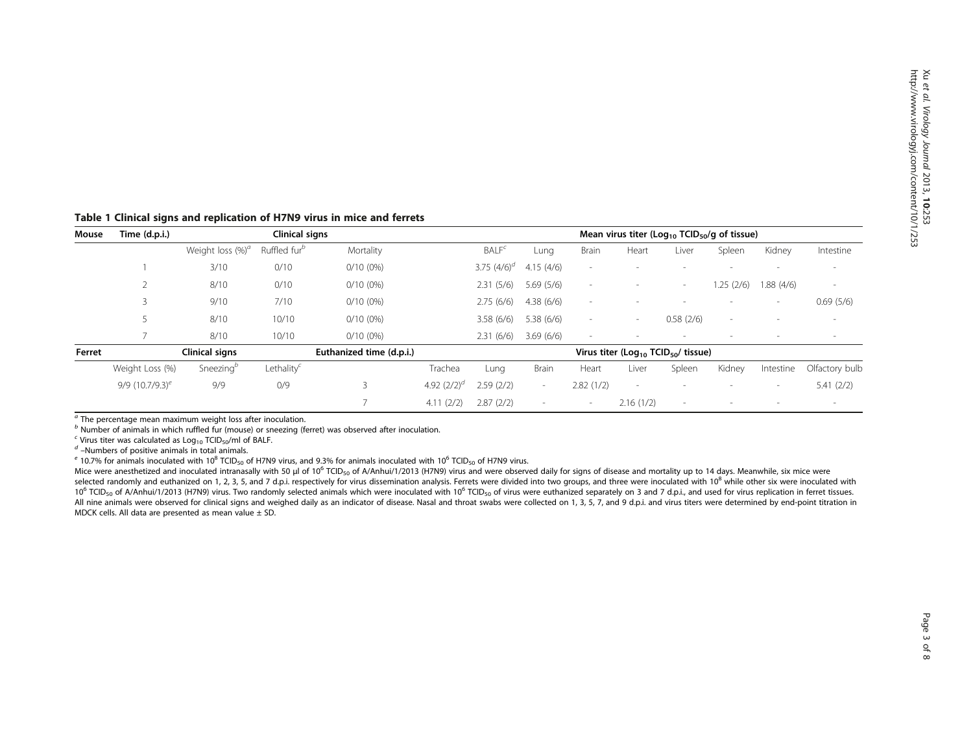| Mouse  | Time (d.p.i.)                              | Clinical signs        |                          |                                                             | Mean virus titer ( $Log_{10}$ TCID <sub>50</sub> /g of tissue) |                   |                          |                          |                          |           |                          |           |                          |
|--------|--------------------------------------------|-----------------------|--------------------------|-------------------------------------------------------------|----------------------------------------------------------------|-------------------|--------------------------|--------------------------|--------------------------|-----------|--------------------------|-----------|--------------------------|
|        |                                            | Weight loss $(\%)^a$  | Ruffled fur <sup>b</sup> | Mortality                                                   |                                                                | BALF <sup>c</sup> | Lung                     | <b>Brain</b>             | Heart                    | Liver     | Spleen                   | Kidney    | Intestine                |
|        |                                            | 3/10                  | 0/10                     | $0/10(0\%)$                                                 |                                                                | 3.75 $(4/6)^d$    | 4.15(4/6)                | $\sim$                   | $\sim$                   | ۰         | $\overline{\phantom{a}}$ |           | $\overline{\phantom{a}}$ |
|        |                                            | 8/10                  | 0/10                     | $0/10(0\%)$                                                 |                                                                | 2.31(5/6)         | 5.69(5/6)                | $\sim$                   | $\sim$                   | $\sim$    | 1.25(2/6)                | 1.88(4/6) | $\overline{\phantom{a}}$ |
|        |                                            | 9/10                  | 7/10                     | $0/10(0\%)$                                                 |                                                                | 2.75(6/6)         | 4.38(6/6)                | $\overline{\phantom{a}}$ | $\sim$                   |           | $\overline{\phantom{a}}$ |           | 0.69(5/6)                |
|        |                                            | 8/10                  | 10/10                    | $0/10(0\%)$                                                 |                                                                | 3.58(6/6)         | 5.38(6/6)                | $\sim$                   | $\sim$                   | 0.58(2/6) | $\overline{\phantom{a}}$ |           | $\overline{\phantom{a}}$ |
|        |                                            | 8/10                  | 10/10                    | $0/10(0\%)$                                                 |                                                                | 2.31(6/6)         | 3.69(6/6)                | $\sim$                   | $\sim$                   |           |                          |           |                          |
| Ferret | Clinical signs<br>Euthanized time (d.p.i.) |                       |                          | Virus titer (Log <sub>10</sub> TCID <sub>50</sub> / tissue) |                                                                |                   |                          |                          |                          |           |                          |           |                          |
|        | Weight Loss (%)                            | Sneezing <sup>b</sup> | Lethality $^\varepsilon$ |                                                             | Trachea                                                        | Lung              | <b>Brain</b>             | Heart                    | Liver                    | Spleen    | Kidney                   | Intestine | Olfactory bulb           |
|        | $9/9$ (10.7/9.3) <sup>e</sup>              | 9/9                   | 0/9                      | 3                                                           | 4.92 $(2/2)^d$                                                 | 2.59(2/2)         | $\sim$                   | 2.82(1/2)                | $\overline{\phantom{a}}$ | $\sim$    | $\overline{\phantom{a}}$ | $\sim$    | 5.41(2/2)                |
|        |                                            |                       |                          |                                                             | 4.11(2/2)                                                      | 2.87(2/2)         | $\overline{\phantom{a}}$ | $\sim$                   | 2.16(1/2)                | $\sim$    |                          |           |                          |

### <span id="page-2-0"></span>Table 1 Clinical signs and replication of H7N9 virus in mice and ferrets

 $a$  The percentage mean maximum weight loss after inoculation.

b Number of animals in which ruffled fur (mouse) or sneezing (ferret) was observed after inoculation.<br>
C Virus titer was calculated as Log<sub>10</sub> TCID<sub>50</sub>/ml of BALF.

<sup>d</sup> –Numbers of positive animals in total animals.<br><sup>e</sup> 10.7% for animals inoculated with 10<sup>8</sup> TCID<sub>50</sub> of H7N9 virus, and 9.3% for animals inoculated with 10<sup>6</sup> TCID<sub>50</sub> of H7N9 virus.

Mice were anesthetized and inoculated intranasally with 50 μl of 10<sup>6</sup> TCID<sub>50</sub> of A/Anhui/1/2013 (H7N9) virus and were observed daily for signs of disease and mortality up to 14 days. Meanwhile, six mice were selected randomly and euthanized on 1, 2, 3, 5, and 7 d.p.i. respectively for virus dissemination analysis. Ferrets were divided into two groups, and three were inoculated with 10<sup>8</sup> while other six were inoculated with 10<sup>6</sup> TCID<sub>50</sub> of A/Anhui/1/2013 (H7N9) virus. Two randomly selected animals which were inoculated with 10<sup>6</sup> TCID<sub>50</sub> of virus were euthanized separately on 3 and 7 d.p.i., and used for virus replication in ferret tissues All nine animals were observed for clinical signs and weighed daily as an indicator of disease. Nasal and throat swabs were collected on 1, 3, 5, 7, and 9 d.p.i. and virus titers were determined by end-point titration in MDCK cells. All data are presented as mean value ± SD.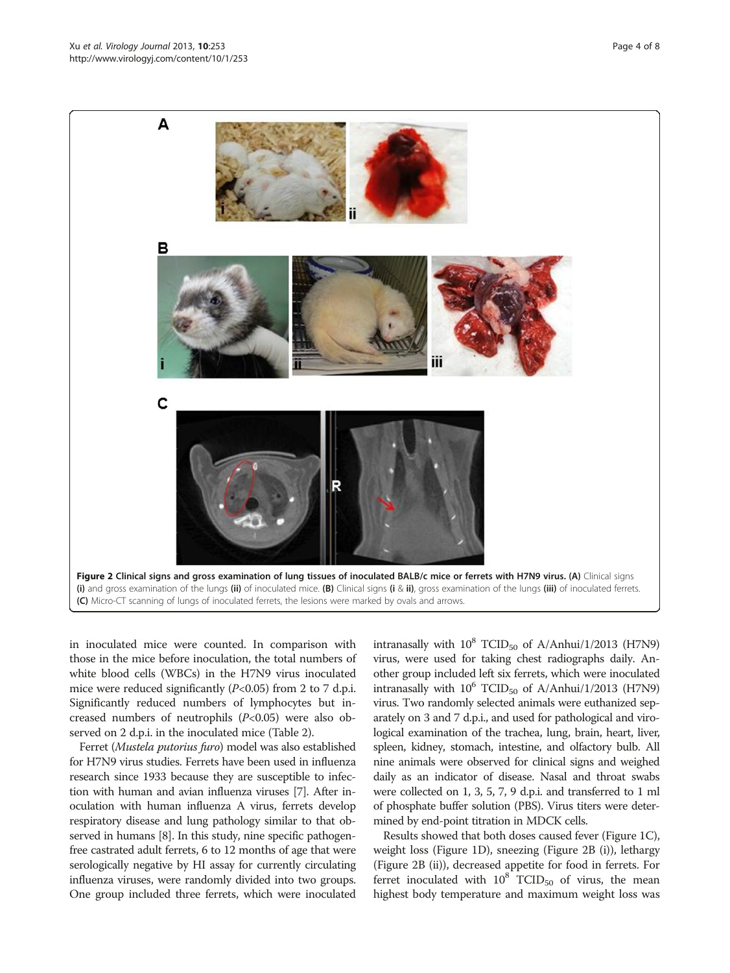<span id="page-3-0"></span>

in inoculated mice were counted. In comparison with those in the mice before inoculation, the total numbers of white blood cells (WBCs) in the H7N9 virus inoculated mice were reduced significantly  $(P<0.05)$  from 2 to 7 d.p.i. Significantly reduced numbers of lymphocytes but increased numbers of neutrophils  $(P<0.05)$  were also observed on 2 d.p.i. in the inoculated mice (Table [2](#page-5-0)).

Ferret (Mustela putorius furo) model was also established for H7N9 virus studies. Ferrets have been used in influenza research since 1933 because they are susceptible to infection with human and avian influenza viruses [\[7](#page-7-0)]. After inoculation with human influenza A virus, ferrets develop respiratory disease and lung pathology similar to that observed in humans [\[8](#page-7-0)]. In this study, nine specific pathogenfree castrated adult ferrets, 6 to 12 months of age that were serologically negative by HI assay for currently circulating influenza viruses, were randomly divided into two groups. One group included three ferrets, which were inoculated

intranasally with  $10^8$  TCID<sub>50</sub> of A/Anhui/1/2013 (H7N9) virus, were used for taking chest radiographs daily. Another group included left six ferrets, which were inoculated intranasally with  $10^6$  TCID<sub>50</sub> of A/Anhui/1/2013 (H7N9) virus. Two randomly selected animals were euthanized separately on 3 and 7 d.p.i., and used for pathological and virological examination of the trachea, lung, brain, heart, liver, spleen, kidney, stomach, intestine, and olfactory bulb. All nine animals were observed for clinical signs and weighed daily as an indicator of disease. Nasal and throat swabs were collected on 1, 3, 5, 7, 9 d.p.i. and transferred to 1 ml of phosphate buffer solution (PBS). Virus titers were determined by end-point titration in MDCK cells.

Results showed that both doses caused fever (Figure [1C](#page-1-0)), weight loss (Figure [1D](#page-1-0)), sneezing (Figure 2B (i)), lethargy (Figure 2B (ii)), decreased appetite for food in ferrets. For ferret inoculated with  $10^8$  TCID<sub>50</sub> of virus, the mean highest body temperature and maximum weight loss was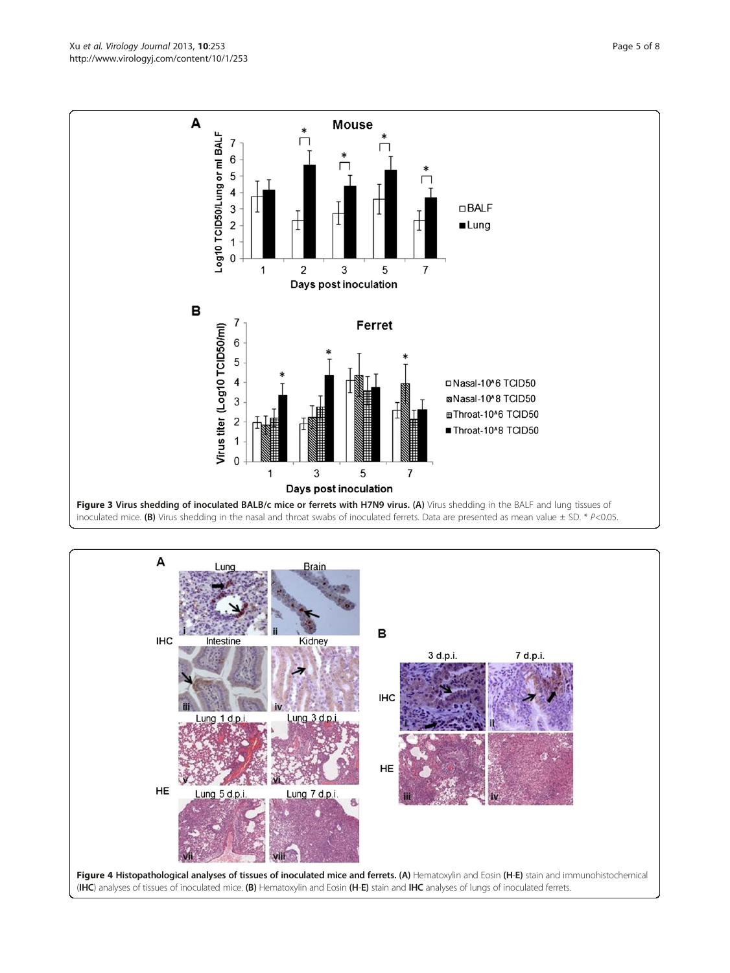<span id="page-4-0"></span>Xu et al. Virology Journal 2013, 10:253 **Page 5 of 8** Page 5 of 8 http://www.virologyj.com/content/10/1/253



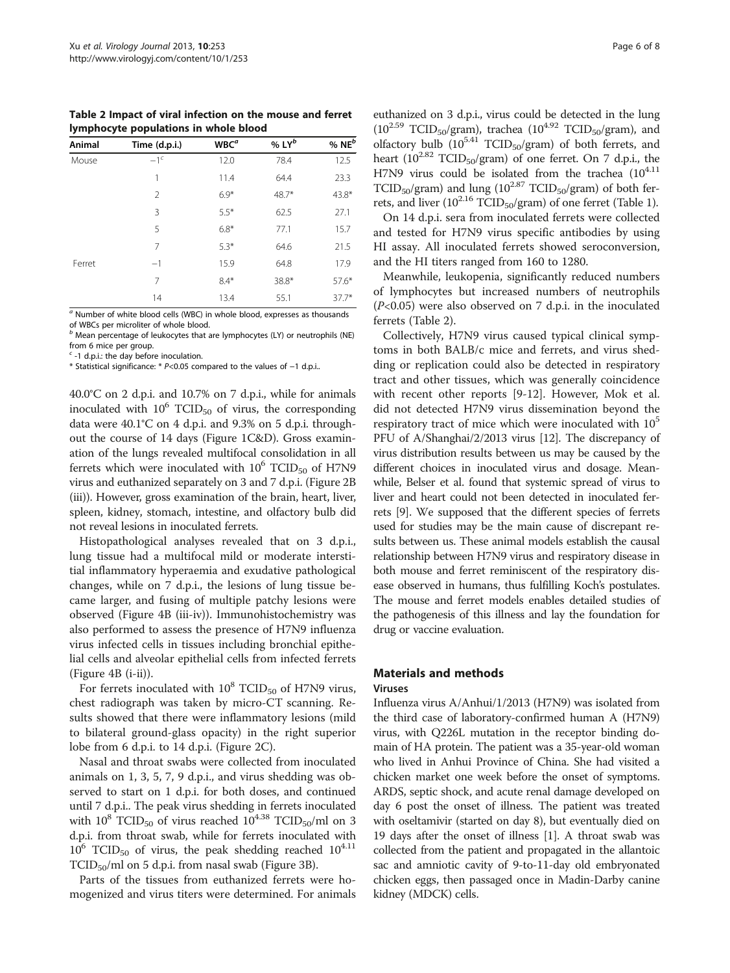<span id="page-5-0"></span>Table 2 Impact of viral infection on the mouse and ferret lymphocyte populations in whole blood

| Animal | Time (d.p.i.) | $WBC^a$ | % $LY^b$ | % $NEb$ |
|--------|---------------|---------|----------|---------|
| Mouse  | $-1c$         | 12.0    | 78.4     | 12.5    |
|        | 1             | 11.4    | 64.4     | 23.3    |
|        | 2             | $6.9*$  | $48.7*$  | $43.8*$ |
|        | 3             | $5.5*$  | 62.5     | 27.1    |
|        | 5             | $6.8*$  | 77.1     | 15.7    |
|        | 7             | $5.3*$  | 64.6     | 21.5    |
| Ferret | $-1$          | 15.9    | 64.8     | 17.9    |
|        | 7             | $8.4*$  | 38.8*    | $57.6*$ |
|        | 14            | 13.4    | 55.1     | $37.7*$ |

 $a$  Number of white blood cells (WBC) in whole blood, expresses as thousands of WBCs per microliter of whole blood.

 $b$  Mean percentage of leukocytes that are lymphocytes (LY) or neutrophils (NE) from 6 mice per group.

 $-1$  d.p.i.: the day before inoculation.

\* Statistical significance: \* P<0.05 compared to the values of −1 d.p.i..

40.0°C on 2 d.p.i. and 10.7% on 7 d.p.i., while for animals inoculated with  $10^6$  TCID<sub>50</sub> of virus, the corresponding data were 40.1°C on 4 d.p.i. and 9.3% on 5 d.p.i. throughout the course of 14 days (Figure [1C](#page-1-0)&D). Gross examination of the lungs revealed multifocal consolidation in all ferrets which were inoculated with  $10^6$  TCID<sub>50</sub> of H7N9 virus and euthanized separately on 3 and 7 d.p.i. (Figure [2B](#page-3-0) (iii)). However, gross examination of the brain, heart, liver, spleen, kidney, stomach, intestine, and olfactory bulb did not reveal lesions in inoculated ferrets.

Histopathological analyses revealed that on 3 d.p.i., lung tissue had a multifocal mild or moderate interstitial inflammatory hyperaemia and exudative pathological changes, while on 7 d.p.i., the lesions of lung tissue became larger, and fusing of multiple patchy lesions were observed (Figure [4B](#page-4-0) (iii-iv)). Immunohistochemistry was also performed to assess the presence of H7N9 influenza virus infected cells in tissues including bronchial epithelial cells and alveolar epithelial cells from infected ferrets (Figure [4](#page-4-0)B (i-ii)).

For ferrets inoculated with  $10^8$  TCID<sub>50</sub> of H7N9 virus, chest radiograph was taken by micro-CT scanning. Results showed that there were inflammatory lesions (mild to bilateral ground-glass opacity) in the right superior lobe from 6 d.p.i. to 14 d.p.i. (Figure [2C](#page-3-0)).

Nasal and throat swabs were collected from inoculated animals on 1, 3, 5, 7, 9 d.p.i., and virus shedding was observed to start on 1 d.p.i. for both doses, and continued until 7 d.p.i.. The peak virus shedding in ferrets inoculated with  $10^8$  TCID<sub>50</sub> of virus reached  $10^{4.38}$  TCID<sub>50</sub>/ml on 3 d.p.i. from throat swab, while for ferrets inoculated with  $10^6$  TCID<sub>50</sub> of virus, the peak shedding reached  $10^{4.11}$  $TCID_{50}/ml$  on 5 d.p.i. from nasal swab (Figure [3B](#page-4-0)).

Parts of the tissues from euthanized ferrets were homogenized and virus titers were determined. For animals

euthanized on 3 d.p.i., virus could be detected in the lung  $(10^{2.59}$  TCID<sub>50</sub>/gram), trachea  $(10^{4.92}$  TCID<sub>50</sub>/gram), and olfactory bulb  $(10^{5.41}$  TCID<sub>50</sub>/gram) of both ferrets, and heart ( $10^{2.82}$  TCID<sub>50</sub>/gram) of one ferret. On 7 d.p.i., the H7N9 virus could be isolated from the trachea  $(10^{4.11}$ TCID<sub>50</sub>/gram) and lung ( $10^{2.87}$  TCID<sub>50</sub>/gram) of both fer-rets, and liver (10<sup>2.16</sup> TCID<sub>50</sub>/gram) of one ferret (Table [1](#page-2-0)).

On 14 d.p.i. sera from inoculated ferrets were collected and tested for H7N9 virus specific antibodies by using HI assay. All inoculated ferrets showed seroconversion, and the HI titers ranged from 160 to 1280.

Meanwhile, leukopenia, significantly reduced numbers of lymphocytes but increased numbers of neutrophils  $(P<0.05)$  were also observed on 7 d.p.i. in the inoculated ferrets (Table 2).

Collectively, H7N9 virus caused typical clinical symptoms in both BALB/c mice and ferrets, and virus shedding or replication could also be detected in respiratory tract and other tissues, which was generally coincidence with recent other reports [[9-12\]](#page-7-0). However, Mok et al. did not detected H7N9 virus dissemination beyond the respiratory tract of mice which were inoculated with 10<sup>5</sup> PFU of A/Shanghai/2/2013 virus [\[12\]](#page-7-0). The discrepancy of virus distribution results between us may be caused by the different choices in inoculated virus and dosage. Meanwhile, Belser et al. found that systemic spread of virus to liver and heart could not been detected in inoculated ferrets [\[9\]](#page-7-0). We supposed that the different species of ferrets used for studies may be the main cause of discrepant results between us. These animal models establish the causal relationship between H7N9 virus and respiratory disease in both mouse and ferret reminiscent of the respiratory disease observed in humans, thus fulfilling Koch's postulates. The mouse and ferret models enables detailed studies of the pathogenesis of this illness and lay the foundation for drug or vaccine evaluation.

# Materials and methods

#### Viruses

Influenza virus A/Anhui/1/2013 (H7N9) was isolated from the third case of laboratory-confirmed human A (H7N9) virus, with Q226L mutation in the receptor binding domain of HA protein. The patient was a 35-year-old woman who lived in Anhui Province of China. She had visited a chicken market one week before the onset of symptoms. ARDS, septic shock, and acute renal damage developed on day 6 post the onset of illness. The patient was treated with oseltamivir (started on day 8), but eventually died on 19 days after the onset of illness [[1\]](#page-7-0). A throat swab was collected from the patient and propagated in the allantoic sac and amniotic cavity of 9-to-11-day old embryonated chicken eggs, then passaged once in Madin-Darby canine kidney (MDCK) cells.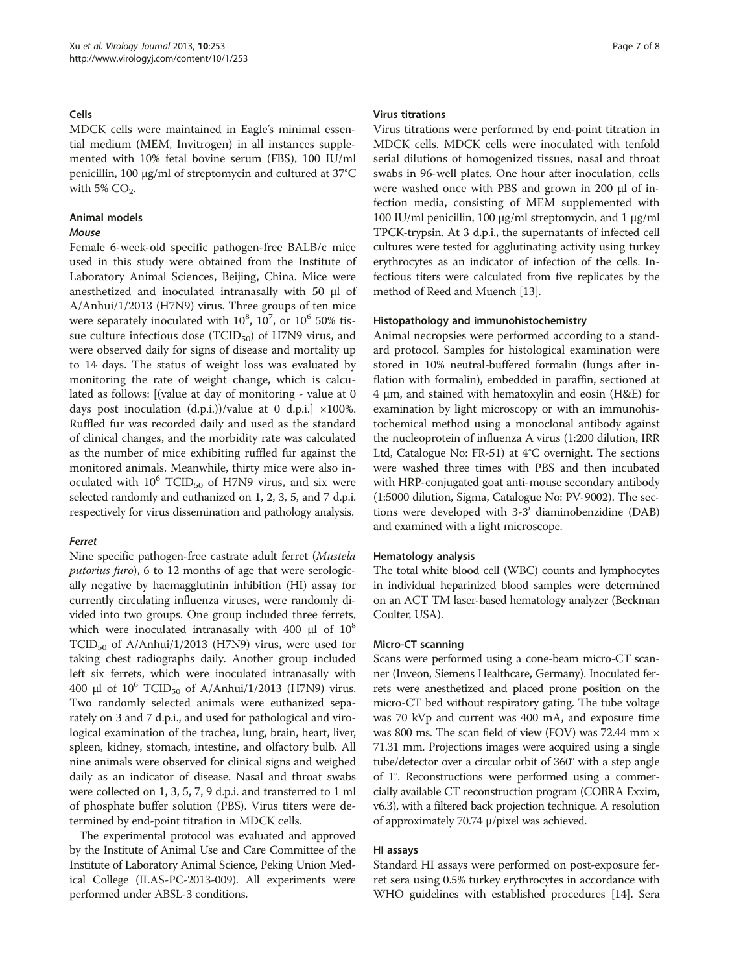#### Cells

MDCK cells were maintained in Eagle's minimal essential medium (MEM, Invitrogen) in all instances supplemented with 10% fetal bovine serum (FBS), 100 IU/ml penicillin, 100 μg/ml of streptomycin and cultured at 37°C with  $5\%$  CO<sub>2</sub>.

### Animal models

#### Mouse

Female 6-week-old specific pathogen-free BALB/c mice used in this study were obtained from the Institute of Laboratory Animal Sciences, Beijing, China. Mice were anesthetized and inoculated intranasally with 50 μl of A/Anhui/1/2013 (H7N9) virus. Three groups of ten mice were separately inoculated with  $10^8$ ,  $10^7$ , or  $10^6$  50% tissue culture infectious dose  $(TCID_{50})$  of H7N9 virus, and were observed daily for signs of disease and mortality up to 14 days. The status of weight loss was evaluated by monitoring the rate of weight change, which is calculated as follows: [(value at day of monitoring - value at 0 days post inoculation (d.p.i.))/value at 0 d.p.i.] ×100%. Ruffled fur was recorded daily and used as the standard of clinical changes, and the morbidity rate was calculated as the number of mice exhibiting ruffled fur against the monitored animals. Meanwhile, thirty mice were also inoculated with  $10^6$  TCID<sub>50</sub> of H7N9 virus, and six were selected randomly and euthanized on 1, 2, 3, 5, and 7 d.p.i. respectively for virus dissemination and pathology analysis.

#### Ferret

Nine specific pathogen-free castrate adult ferret (Mustela putorius furo), 6 to 12 months of age that were serologically negative by haemagglutinin inhibition (HI) assay for currently circulating influenza viruses, were randomly divided into two groups. One group included three ferrets, which were inoculated intranasally with 400  $\mu$ l of 10<sup>8</sup>  $TCID_{50}$  of A/Anhui/1/2013 (H7N9) virus, were used for taking chest radiographs daily. Another group included left six ferrets, which were inoculated intranasally with 400 μl of  $10^6$  TCID<sub>50</sub> of A/Anhui/1/2013 (H7N9) virus. Two randomly selected animals were euthanized separately on 3 and 7 d.p.i., and used for pathological and virological examination of the trachea, lung, brain, heart, liver, spleen, kidney, stomach, intestine, and olfactory bulb. All nine animals were observed for clinical signs and weighed daily as an indicator of disease. Nasal and throat swabs were collected on 1, 3, 5, 7, 9 d.p.i. and transferred to 1 ml of phosphate buffer solution (PBS). Virus titers were determined by end-point titration in MDCK cells.

The experimental protocol was evaluated and approved by the Institute of Animal Use and Care Committee of the Institute of Laboratory Animal Science, Peking Union Medical College (ILAS-PC-2013-009). All experiments were performed under ABSL-3 conditions.

#### Virus titrations

Virus titrations were performed by end-point titration in MDCK cells. MDCK cells were inoculated with tenfold serial dilutions of homogenized tissues, nasal and throat swabs in 96-well plates. One hour after inoculation, cells were washed once with PBS and grown in 200 μl of infection media, consisting of MEM supplemented with 100 IU/ml penicillin, 100 μg/ml streptomycin, and 1 μg/ml TPCK-trypsin. At 3 d.p.i., the supernatants of infected cell cultures were tested for agglutinating activity using turkey erythrocytes as an indicator of infection of the cells. Infectious titers were calculated from five replicates by the method of Reed and Muench [[13](#page-7-0)].

#### Histopathology and immunohistochemistry

Animal necropsies were performed according to a standard protocol. Samples for histological examination were stored in 10% neutral-buffered formalin (lungs after inflation with formalin), embedded in paraffin, sectioned at 4 μm, and stained with hematoxylin and eosin (H&E) for examination by light microscopy or with an immunohistochemical method using a monoclonal antibody against the nucleoprotein of influenza A virus (1:200 dilution, IRR Ltd, Catalogue No: FR-51) at 4°C overnight. The sections were washed three times with PBS and then incubated with HRP-conjugated goat anti-mouse secondary antibody (1:5000 dilution, Sigma, Catalogue No: PV-9002). The sections were developed with 3-3' diaminobenzidine (DAB) and examined with a light microscope.

#### Hematology analysis

The total white blood cell (WBC) counts and lymphocytes in individual heparinized blood samples were determined on an ACT TM laser-based hematology analyzer (Beckman Coulter, USA).

#### Micro-CT scanning

Scans were performed using a cone-beam micro-CT scanner (Inveon, Siemens Healthcare, Germany). Inoculated ferrets were anesthetized and placed prone position on the micro-CT bed without respiratory gating. The tube voltage was 70 kVp and current was 400 mA, and exposure time was 800 ms. The scan field of view (FOV) was 72.44 mm  $\times$ 71.31 mm. Projections images were acquired using a single tube/detector over a circular orbit of 360° with a step angle of 1°. Reconstructions were performed using a commercially available CT reconstruction program (COBRA Exxim, v6.3), with a filtered back projection technique. A resolution of approximately 70.74 μ/pixel was achieved.

# HI assays

Standard HI assays were performed on post-exposure ferret sera using 0.5% turkey erythrocytes in accordance with WHO guidelines with established procedures [[14](#page-7-0)]. Sera